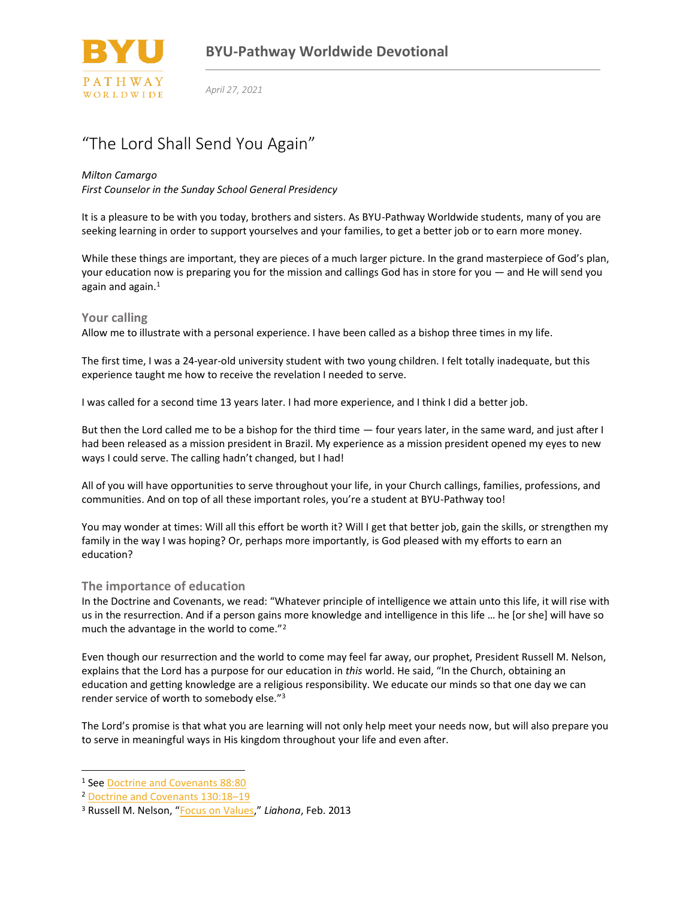

*April 27, 2021*

# "The Lord Shall Send You Again"

#### *Milton Camargo*

*First Counselor in the Sunday School General Presidency*

It is a pleasure to be with you today, brothers and sisters. As BYU-Pathway Worldwide students, many of you are seeking learning in order to support yourselves and your families, to get a better job or to earn more money.

While these things are important, they are pieces of a much larger picture. In the grand masterpiece of God's plan, your education now is preparing you for the mission and callings God has in store for you — and He will send you again and again.<sup>1</sup>

### **Your calling**

Allow me to illustrate with a personal experience. I have been called as a bishop three times in my life.

The first time, I was a 24-year-old university student with two young children. I felt totally inadequate, but this experience taught me how to receive the revelation I needed to serve.

I was called for a second time 13 years later. I had more experience, and I think I did a better job.

But then the Lord called me to be a bishop for the third time — four years later, in the same ward, and just after I had been released as a mission president in Brazil. My experience as a mission president opened my eyes to new ways I could serve. The calling hadn't changed, but I had!

All of you will have opportunities to serve throughout your life, in your Church callings, families, professions, and communities. And on top of all these important roles, you're a student at BYU-Pathway too!

You may wonder at times: Will all this effort be worth it? Will I get that better job, gain the skills, or strengthen my family in the way I was hoping? Or, perhaps more importantly, is God pleased with my efforts to earn an education?

### **The importance of education**

In the Doctrine and Covenants, we read: "Whatever principle of intelligence we attain unto this life, it will rise with us in the resurrection. And if a person gains more knowledge and intelligence in this life … he [or she] will have so much the advantage in the world to come."<sup>2</sup>

Even though our resurrection and the world to come may feel far away, our prophet, President Russell M. Nelson, explains that the Lord has a purpose for our education in *this* world. He said, "In the Church, obtaining an education and getting knowledge are a religious responsibility. We educate our minds so that one day we can render service of worth to somebody else."<sup>3</sup>

The Lord's promise is that what you are learning will not only help meet your needs now, but will also prepare you to serve in meaningful ways in His kingdom throughout your life and even after.

<sup>1</sup> See [Doctrine and Covenants 88:80](https://www.churchofjesuschrist.org/study/scriptures/dc-testament/dc/88.80#79)

<sup>2</sup> [Doctrine and Covenants 130:18](https://www.churchofjesuschrist.org/study/scriptures/dc-testament/dc/130.18-19#18)–19

<sup>3</sup> Russell M. Nelson, "[Focus on Values](https://www.churchofjesuschrist.org/study/liahona/2013/02/youth/focus-on-values)," *Liahona*, Feb. 2013